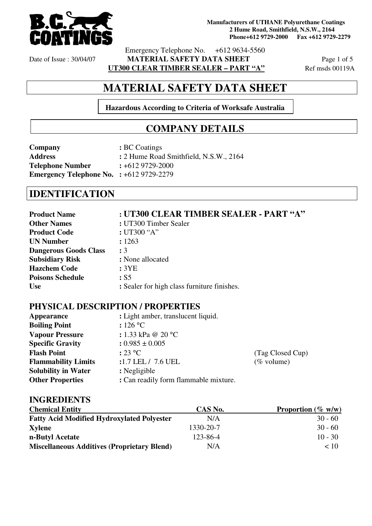

Emergency Telephone No. +612 9634-5560 Date of Issue : 30/04/07 **MATERIAL SAFETY DATA SHEET** Page 1 of 5

**UT300 CLEAR TIMBER SEALER – PART "A"** Ref msds 00119A

# **MATERIAL SAFETY DATA SHEET**

**Hazardous According to Criteria of Worksafe Australia** 

# **COMPANY DETAILS**

| Company                                          | : BC Coatings                          |
|--------------------------------------------------|----------------------------------------|
| <b>Address</b>                                   | : 2 Hume Road Smithfield, N.S.W., 2164 |
| <b>Telephone Number</b>                          | $\div 6129729 - 2000$                  |
| <b>Emergency Telephone No. :</b> $+6129729-2279$ |                                        |

# **IDENTIFICATION**

| <b>Product Name</b>          | : UT300 CLEAR TIMBER SEALER - PART "A"      |
|------------------------------|---------------------------------------------|
| <b>Other Names</b>           | : UT300 Timber Sealer                       |
| <b>Product Code</b>          | : UT300 "A"                                 |
| <b>UN Number</b>             | : 1263                                      |
| <b>Dangerous Goods Class</b> | $\colon 3$                                  |
| <b>Subsidiary Risk</b>       | : None allocated                            |
| <b>Hazchem Code</b>          | :3YE                                        |
| <b>Poisons Schedule</b>      | : S5                                        |
| <b>Use</b>                   | : Sealer for high class furniture finishes. |

### **PHYSICAL DESCRIPTION / PROPERTIES**

| <b>Appearance</b>          | : Light amber, translucent liquid.    |                  |
|----------------------------|---------------------------------------|------------------|
| <b>Boiling Point</b>       | : 126 °C                              |                  |
| <b>Vapour Pressure</b>     | : 1.33 kPa @ 20 $^{\circ}$ C          |                  |
| <b>Specific Gravity</b>    | $: 0.985 \pm 0.005$                   |                  |
| <b>Flash Point</b>         | : 23 °C                               | (Tag Closed Cup) |
| <b>Flammability Limits</b> | :1.7 LEL / 7.6 UEL                    | $(\%$ volume)    |
| <b>Solubility in Water</b> | : Negligible                          |                  |
| <b>Other Properties</b>    | : Can readily form flammable mixture. |                  |

### **INGREDIENTS**

| <b>Chemical Entity</b>                             | CAS No.   | <b>Proportion</b> (% $w/w$ ) |
|----------------------------------------------------|-----------|------------------------------|
| <b>Fatty Acid Modified Hydroxylated Polyester</b>  | N/A       | $30 - 60$                    |
| <b>Xylene</b>                                      | 1330-20-7 | $30 - 60$                    |
| n-Butyl Acetate                                    | 123-86-4  | $10 - 30$                    |
| <b>Miscellaneous Additives (Proprietary Blend)</b> | N/A       | ~10                          |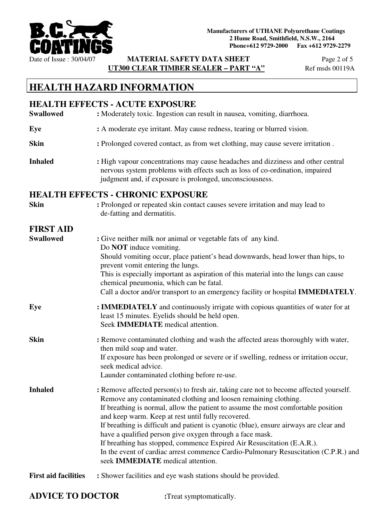

Date of Issue : 30/04/07 **MATERIAL SAFETY DATA SHEET** Page 2 of 5 **UT300 CLEAR TIMBER SEALER – PART "A"** Ref msds 00119A

# **HEALTH HAZARD INFORMATION**

|                             | <b>HEALTH EFFECTS - ACUTE EXPOSURE</b>                                                                                                                                                                                                                                                                                                                                                                                                                                                                                                                                                                                                                           |  |  |
|-----------------------------|------------------------------------------------------------------------------------------------------------------------------------------------------------------------------------------------------------------------------------------------------------------------------------------------------------------------------------------------------------------------------------------------------------------------------------------------------------------------------------------------------------------------------------------------------------------------------------------------------------------------------------------------------------------|--|--|
| <b>Swallowed</b>            | : Moderately toxic. Ingestion can result in nausea, vomiting, diarrhoea.                                                                                                                                                                                                                                                                                                                                                                                                                                                                                                                                                                                         |  |  |
| Eye                         | : A moderate eye irritant. May cause redness, tearing or blurred vision.                                                                                                                                                                                                                                                                                                                                                                                                                                                                                                                                                                                         |  |  |
| <b>Skin</b>                 | : Prolonged covered contact, as from wet clothing, may cause severe irritation.                                                                                                                                                                                                                                                                                                                                                                                                                                                                                                                                                                                  |  |  |
| <b>Inhaled</b>              | : High vapour concentrations may cause headaches and dizziness and other central<br>nervous system problems with effects such as loss of co-ordination, impaired<br>judgment and, if exposure is prolonged, unconsciousness.                                                                                                                                                                                                                                                                                                                                                                                                                                     |  |  |
|                             | <b>HEALTH EFFECTS - CHRONIC EXPOSURE</b>                                                                                                                                                                                                                                                                                                                                                                                                                                                                                                                                                                                                                         |  |  |
| <b>Skin</b>                 | : Prolonged or repeated skin contact causes severe irritation and may lead to<br>de-fatting and dermatitis.                                                                                                                                                                                                                                                                                                                                                                                                                                                                                                                                                      |  |  |
| <b>FIRST AID</b>            |                                                                                                                                                                                                                                                                                                                                                                                                                                                                                                                                                                                                                                                                  |  |  |
| <b>Swallowed</b>            | : Give neither milk nor animal or vegetable fats of any kind.<br>Do <b>NOT</b> induce vomiting.<br>Should vomiting occur, place patient's head downwards, head lower than hips, to<br>prevent vomit entering the lungs.<br>This is especially important as aspiration of this material into the lungs can cause<br>chemical pneumonia, which can be fatal.<br>Call a doctor and/or transport to an emergency facility or hospital IMMEDIATELY.                                                                                                                                                                                                                   |  |  |
| Eye                         | : <b>IMMEDIATELY</b> and continuously irrigate with copious quantities of water for at<br>least 15 minutes. Eyelids should be held open.<br>Seek <b>IMMEDIATE</b> medical attention.                                                                                                                                                                                                                                                                                                                                                                                                                                                                             |  |  |
| <b>Skin</b>                 | : Remove contaminated clothing and wash the affected areas thoroughly with water,<br>then mild soap and water.<br>If exposure has been prolonged or severe or if swelling, redness or irritation occur,<br>seek medical advice.<br>Launder contaminated clothing before re-use.                                                                                                                                                                                                                                                                                                                                                                                  |  |  |
| <b>Inhaled</b>              | : Remove affected person(s) to fresh air, taking care not to become affected yourself.<br>Remove any contaminated clothing and loosen remaining clothing.<br>If breathing is normal, allow the patient to assume the most comfortable position<br>and keep warm. Keep at rest until fully recovered.<br>If breathing is difficult and patient is cyanotic (blue), ensure airways are clear and<br>have a qualified person give oxygen through a face mask.<br>If breathing has stopped, commence Expired Air Resuscitation (E.A.R.).<br>In the event of cardiac arrest commence Cardio-Pulmonary Resuscitation (C.P.R.) and<br>seek IMMEDIATE medical attention. |  |  |
| <b>First aid facilities</b> | : Shower facilities and eye wash stations should be provided.                                                                                                                                                                                                                                                                                                                                                                                                                                                                                                                                                                                                    |  |  |

## **ADVICE TO DOCTOR :**Treat symptomatically.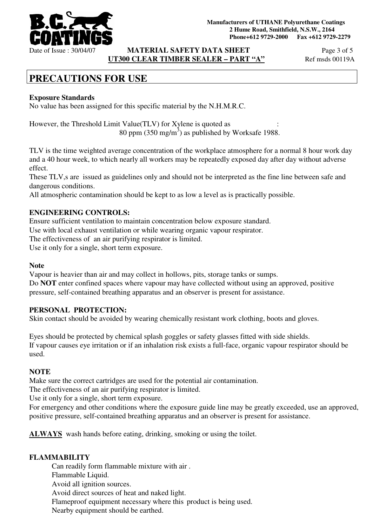

**MATERIAL SAFETY DATA SHEET** Page 3 of 5 **UT300 CLEAR TIMBER SEALER – PART "A"** Ref msds 00119A

# **PRECAUTIONS FOR USE**

### **Exposure Standards**

No value has been assigned for this specific material by the N.H.M.R.C.

However, the Threshold Limit Value(TLV) for Xylene is quoted as 80 ppm  $(350 \text{ mg/m}^3)$  as published by Worksafe 1988.

TLV is the time weighted average concentration of the workplace atmosphere for a normal 8 hour work day and a 40 hour week, to which nearly all workers may be repeatedly exposed day after day without adverse effect.

These TLV,s are issued as guidelines only and should not be interpreted as the fine line between safe and dangerous conditions.

All atmospheric contamination should be kept to as low a level as is practically possible.

#### **ENGINEERING CONTROLS:**

Ensure sufficient ventilation to maintain concentration below exposure standard. Use with local exhaust ventilation or while wearing organic vapour respirator.

The effectiveness of an air purifying respirator is limited.

Use it only for a single, short term exposure.

#### **Note**

Vapour is heavier than air and may collect in hollows, pits, storage tanks or sumps. Do **NOT** enter confined spaces where vapour may have collected without using an approved, positive pressure, self-contained breathing apparatus and an observer is present for assistance.

#### **PERSONAL PROTECTION:**

Skin contact should be avoided by wearing chemically resistant work clothing, boots and gloves.

Eyes should be protected by chemical splash goggles or safety glasses fitted with side shields. If vapour causes eye irritation or if an inhalation risk exists a full-face, organic vapour respirator should be used.

#### **NOTE**

Make sure the correct cartridges are used for the potential air contamination.

The effectiveness of an air purifying respirator is limited.

Use it only for a single, short term exposure.

For emergency and other conditions where the exposure guide line may be greatly exceeded, use an approved, positive pressure, self-contained breathing apparatus and an observer is present for assistance.

**ALWAYS** wash hands before eating, drinking, smoking or using the toilet.

### **FLAMMABILITY**

Can readily form flammable mixture with air . Flammable Liquid. Avoid all ignition sources. Avoid direct sources of heat and naked light. Flameproof equipment necessary where this product is being used. Nearby equipment should be earthed.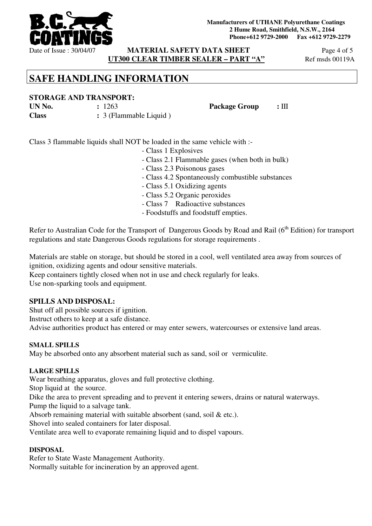

**MATERIAL SAFETY DATA SHEET** Page 4 of 5 **UT300 CLEAR TIMBER SEALER – PART "A"** Ref msds 00119A

# **SAFE HANDLING INFORMATION**

### **STORAGE AND TRANSPORT:**

**UN No.**  $\qquad \qquad : 1263$  **Package Group** : III

**Class :** 3 (Flammable Liquid )

Class 3 flammable liquids shall NOT be loaded in the same vehicle with :-

- Class 1 Explosives
	- Class 2.1 Flammable gases (when both in bulk)
	- Class 2.3 Poisonous gases
	- Class 4.2 Spontaneously combustible substances
- Class 5.1 Oxidizing agents
- Class 5.2 Organic peroxides
- Class 7 Radioactive substances
- Foodstuffs and foodstuff empties.

Refer to Australian Code for the Transport of Dangerous Goods by Road and Rail (6<sup>th</sup> Edition) for transport regulations and state Dangerous Goods regulations for storage requirements .

Materials are stable on storage, but should be stored in a cool, well ventilated area away from sources of ignition, oxidizing agents and odour sensitive materials.

Keep containers tightly closed when not in use and check regularly for leaks. Use non-sparking tools and equipment.

### **SPILLS AND DISPOSAL:**

Shut off all possible sources if ignition.

Instruct others to keep at a safe distance.

Advise authorities product has entered or may enter sewers, watercourses or extensive land areas.

### **SMALL SPILLS**

May be absorbed onto any absorbent material such as sand, soil or vermiculite.

### **LARGE SPILLS**

Wear breathing apparatus, gloves and full protective clothing.

Stop liquid at the source.

Dike the area to prevent spreading and to prevent it entering sewers, drains or natural waterways. Pump the liquid to a salvage tank.

Absorb remaining material with suitable absorbent (sand, soil & etc.).

Shovel into sealed containers for later disposal.

Ventilate area well to evaporate remaining liquid and to dispel vapours.

### **DISPOSAL**

Refer to State Waste Management Authority. Normally suitable for incineration by an approved agent.